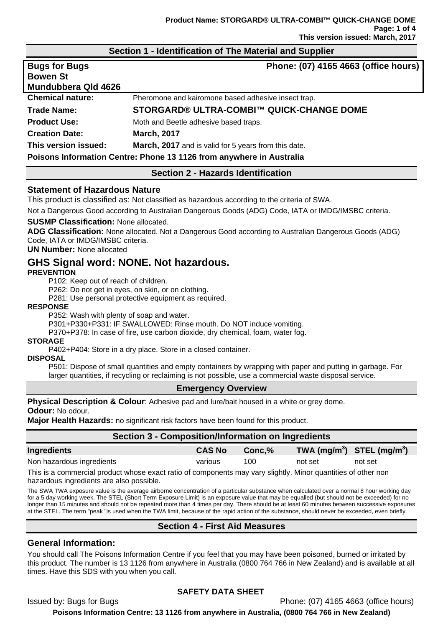## **Section 1 - Identification of The Material and Supplier**

| <b>Bugs for Bugs</b><br><b>Bowen St</b><br>Mundubbera Qld 4626 | Phone: (07) 4165 4663 (office hours)                                 |
|----------------------------------------------------------------|----------------------------------------------------------------------|
| <b>Chemical nature:</b>                                        | Pheromone and kairomone based adhesive insect trap.                  |
| <b>Trade Name:</b>                                             | STORGARD® ULTRA-COMBI™ QUICK-CHANGE DOME                             |
| <b>Product Use:</b>                                            | Moth and Beetle adhesive based traps.                                |
| <b>Creation Date:</b>                                          | <b>March, 2017</b>                                                   |
| This version issued:                                           | March, 2017 and is valid for 5 years from this date.                 |
|                                                                | Poisons Information Centre: Phone 13 1126 from anywhere in Australia |

## **Section 2 - Hazards Identification**

### **Statement of Hazardous Nature**

This product is classified as: Not classified as hazardous according to the criteria of SWA.

Not a Dangerous Good according to Australian Dangerous Goods (ADG) Code, IATA or IMDG/IMSBC criteria.

### **SUSMP Classification:** None allocated.

**ADG Classification:** None allocated. Not a Dangerous Good according to Australian Dangerous Goods (ADG) Code, IATA or IMDG/IMSBC criteria.

### **UN Number:** None allocated

# **GHS Signal word: NONE. Not hazardous.**

### **PREVENTION**

P102: Keep out of reach of children.

P262: Do not get in eyes, on skin, or on clothing.

P281: Use personal protective equipment as required.

### **RESPONSE**

P352: Wash with plenty of soap and water.

P301+P330+P331: IF SWALLOWED: Rinse mouth. Do NOT induce vomiting.

P370+P378: In case of fire, use carbon dioxide, dry chemical, foam, water fog.

### **STORAGE**

P402+P404: Store in a dry place. Store in a closed container.

## **DISPOSAL**

P501: Dispose of small quantities and empty containers by wrapping with paper and putting in garbage. For larger quantities, if recycling or reclaiming is not possible, use a commercial waste disposal service.

### **Emergency Overview**

**Physical Description & Colour**: Adhesive pad and lure/bait housed in a white or grey dome.

**Odour:** No odour.

**Major Health Hazards:** no significant risk factors have been found for this product.

| <b>Section 3 - Composition/Information on Ingredients</b>                                                      |               |        |                                |         |
|----------------------------------------------------------------------------------------------------------------|---------------|--------|--------------------------------|---------|
| <b>Ingredients</b>                                                                                             | <b>CAS No</b> | Conc.% | TWA $(mg/m^3)$ STEL $(mg/m^3)$ |         |
| Non hazardous ingredients                                                                                      | various       | 100    | not set                        | not set |
| This is a commercial product whose exact ratio of components may vary slightly. Minor quantities of other non- |               |        |                                |         |

exact ratio of components may hazardous ingredients are also possible.

The SWA TWA exposure value is the average airborne concentration of a particular substance when calculated over a normal 8 hour working day for a 5 day working week. The STEL (Short Term Exposure Limit) is an exposure value that may be equalled (but should not be exceeded) for no longer than 15 minutes and should not be repeated more than 4 times per day. There should be at least 60 minutes between successive exposures at the STEL. The term "peak "is used when the TWA limit, because of the rapid action of the substance, should never be exceeded, even briefly.

## **Section 4 - First Aid Measures**

## **General Information:**

You should call The Poisons Information Centre if you feel that you may have been poisoned, burned or irritated by this product. The number is 13 1126 from anywhere in Australia (0800 764 766 in New Zealand) and is available at all times. Have this SDS with you when you call.

## **SAFETY DATA SHEET**

Issued by: Bugs for Bugs Phone: (07) 4165 4663 (office hours) **Poisons Information Centre: 13 1126 from anywhere in Australia, (0800 764 766 in New Zealand)**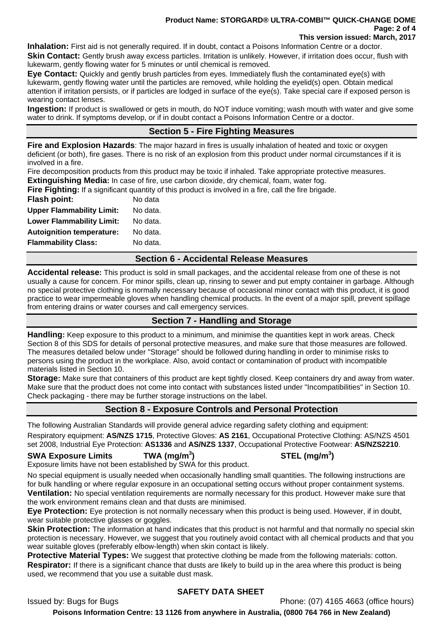#### **Product Name: STORGARD® ULTRA-COMBI™ QUICK-CHANGE DOME Page: 2 of 4 This version issued: March, 2017**

**Inhalation:** First aid is not generally required. If in doubt, contact a Poisons Information Centre or a doctor. **Skin Contact:** Gently brush away excess particles. Irritation is unlikely. However, if irritation does occur, flush with lukewarm, gently flowing water for 5 minutes or until chemical is removed.

**Eye Contact:** Quickly and gently brush particles from eyes. Immediately flush the contaminated eye(s) with lukewarm, gently flowing water until the particles are removed, while holding the eyelid(s) open. Obtain medical attention if irritation persists, or if particles are lodged in surface of the eye(s). Take special care if exposed person is wearing contact lenses.

**Ingestion:** If product is swallowed or gets in mouth, do NOT induce vomiting; wash mouth with water and give some water to drink. If symptoms develop, or if in doubt contact a Poisons Information Centre or a doctor.

# **Section 5 - Fire Fighting Measures**

**Fire and Explosion Hazards**: The major hazard in fires is usually inhalation of heated and toxic or oxygen deficient (or both), fire gases. There is no risk of an explosion from this product under normal circumstances if it is involved in a fire.

Fire decomposition products from this product may be toxic if inhaled. Take appropriate protective measures. **Extinguishing Media:** In case of fire, use carbon dioxide, dry chemical, foam, water fog.

**Fire Fighting:** If a significant quantity of this product is involved in a fire, call the fire brigade.

| <b>Flash point:</b>              | No data  |
|----------------------------------|----------|
| <b>Upper Flammability Limit:</b> | No data. |
| <b>Lower Flammability Limit:</b> | No data. |
| <b>Autoignition temperature:</b> | No data. |
| <b>Flammability Class:</b>       | No data. |

## **Section 6 - Accidental Release Measures**

**Accidental release:** This product is sold in small packages, and the accidental release from one of these is not usually a cause for concern. For minor spills, clean up, rinsing to sewer and put empty container in garbage. Although no special protective clothing is normally necessary because of occasional minor contact with this product, it is good practice to wear impermeable gloves when handling chemical products. In the event of a major spill, prevent spillage from entering drains or water courses and call emergency services.

## **Section 7 - Handling and Storage**

**Handling:** Keep exposure to this product to a minimum, and minimise the quantities kept in work areas. Check Section 8 of this SDS for details of personal protective measures, and make sure that those measures are followed. The measures detailed below under "Storage" should be followed during handling in order to minimise risks to persons using the product in the workplace. Also, avoid contact or contamination of product with incompatible materials listed in Section 10.

**Storage:** Make sure that containers of this product are kept tightly closed. Keep containers dry and away from water. Make sure that the product does not come into contact with substances listed under "Incompatibilities" in Section 10. Check packaging - there may be further storage instructions on the label.

## **Section 8 - Exposure Controls and Personal Protection**

The following Australian Standards will provide general advice regarding safety clothing and equipment:

Respiratory equipment: **AS/NZS 1715**, Protective Gloves: **AS 2161**, Occupational Protective Clothing: AS/NZS 4501 set 2008, Industrial Eye Protection: **AS1336** and **AS/NZS 1337**, Occupational Protective Footwear: **AS/NZS2210**.

## **SWA Exposure Limits TWA (mg/m<sup>3</sup>**

Exposure limits have not been established by SWA for this product.

No special equipment is usually needed when occasionally handling small quantities. The following instructions are for bulk handling or where regular exposure in an occupational setting occurs without proper containment systems. **Ventilation:** No special ventilation requirements are normally necessary for this product. However make sure that the work environment remains clean and that dusts are minimised.

**Eye Protection:** Eye protection is not normally necessary when this product is being used. However, if in doubt, wear suitable protective glasses or goggles.

**Skin Protection:** The information at hand indicates that this product is not harmful and that normally no special skin protection is necessary. However, we suggest that you routinely avoid contact with all chemical products and that you wear suitable gloves (preferably elbow-length) when skin contact is likely.

**Protective Material Types:** We suggest that protective clothing be made from the following materials: cotton. **Respirator:** If there is a significant chance that dusts are likely to build up in the area where this product is being used, we recommend that you use a suitable dust mask.

# **SAFETY DATA SHEET**

Issued by: Bugs for Bugs Phone: (07) 4165 4663 (office hours)

**Poisons Information Centre: 13 1126 from anywhere in Australia, (0800 764 766 in New Zealand)**

# **) STEL (mg/m<sup>3</sup> )**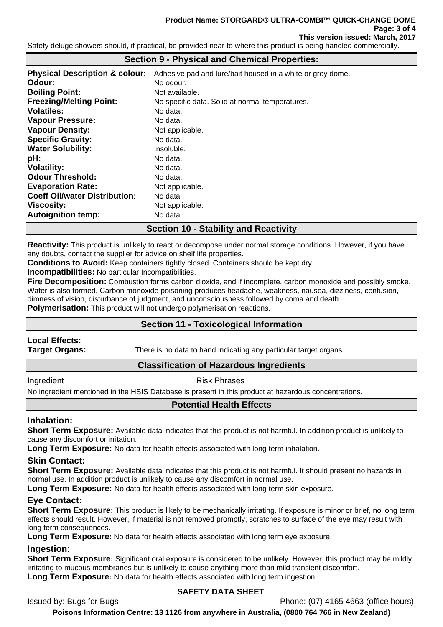Safety deluge showers should, if practical, be provided near to where this product is being handled commercially.

## **Section 9 - Physical and Chemical Properties:**

| <b>Physical Description &amp; colour:</b> | Adhesive pad and lure/bait housed in a white or grey dome. |
|-------------------------------------------|------------------------------------------------------------|
| Odour:                                    | No odour.                                                  |
| <b>Boiling Point:</b>                     | Not available.                                             |
| <b>Freezing/Melting Point:</b>            | No specific data. Solid at normal temperatures.            |
| <b>Volatiles:</b>                         | No data.                                                   |
| <b>Vapour Pressure:</b>                   | No data.                                                   |
| <b>Vapour Density:</b>                    | Not applicable.                                            |
| <b>Specific Gravity:</b>                  | No data.                                                   |
| <b>Water Solubility:</b>                  | Insoluble.                                                 |
| pH:                                       | No data.                                                   |
| <b>Volatility:</b>                        | No data.                                                   |
| <b>Odour Threshold:</b>                   | No data.                                                   |
| <b>Evaporation Rate:</b>                  | Not applicable.                                            |
| <b>Coeff Oil/water Distribution:</b>      | No data                                                    |
| Viscosity:                                | Not applicable.                                            |
| <b>Autoignition temp:</b>                 | No data.                                                   |
|                                           |                                                            |

# **Section 10 - Stability and Reactivity**

**Reactivity:** This product is unlikely to react or decompose under normal storage conditions. However, if you have any doubts, contact the supplier for advice on shelf life properties.

**Conditions to Avoid:** Keep containers tightly closed. Containers should be kept dry.

**Incompatibilities:** No particular Incompatibilities.

**Fire Decomposition:** Combustion forms carbon dioxide, and if incomplete, carbon monoxide and possibly smoke. Water is also formed. Carbon monoxide poisoning produces headache, weakness, nausea, dizziness, confusion, dimness of vision, disturbance of judgment, and unconsciousness followed by coma and death.

**Polymerisation:** This product will not undergo polymerisation reactions.

## **Section 11 - Toxicological Information**

# **Local Effects:**

**Target Organs:** There is no data to hand indicating any particular target organs.

## **Classification of Hazardous Ingredients**

Ingredient **Risk Phrases** 

No ingredient mentioned in the HSIS Database is present in this product at hazardous concentrations.

## **Potential Health Effects**

## **Inhalation:**

**Short Term Exposure:** Available data indicates that this product is not harmful. In addition product is unlikely to cause any discomfort or irritation.

**Long Term Exposure:** No data for health effects associated with long term inhalation.

### **Skin Contact:**

**Short Term Exposure:** Available data indicates that this product is not harmful. It should present no hazards in normal use. In addition product is unlikely to cause any discomfort in normal use.

**Long Term Exposure:** No data for health effects associated with long term skin exposure.

## **Eye Contact:**

**Short Term Exposure:** This product is likely to be mechanically irritating. If exposure is minor or brief, no long term effects should result. However, if material is not removed promptly, scratches to surface of the eye may result with long term consequences.

**Long Term Exposure:** No data for health effects associated with long term eye exposure.

### **Ingestion:**

**Short Term Exposure:** Significant oral exposure is considered to be unlikely. However, this product may be mildly irritating to mucous membranes but is unlikely to cause anything more than mild transient discomfort. **Long Term Exposure:** No data for health effects associated with long term ingestion.

## **SAFETY DATA SHEET**

Issued by: Bugs for Bugs Phone: (07) 4165 4663 (office hours)

**Poisons Information Centre: 13 1126 from anywhere in Australia, (0800 764 766 in New Zealand)**